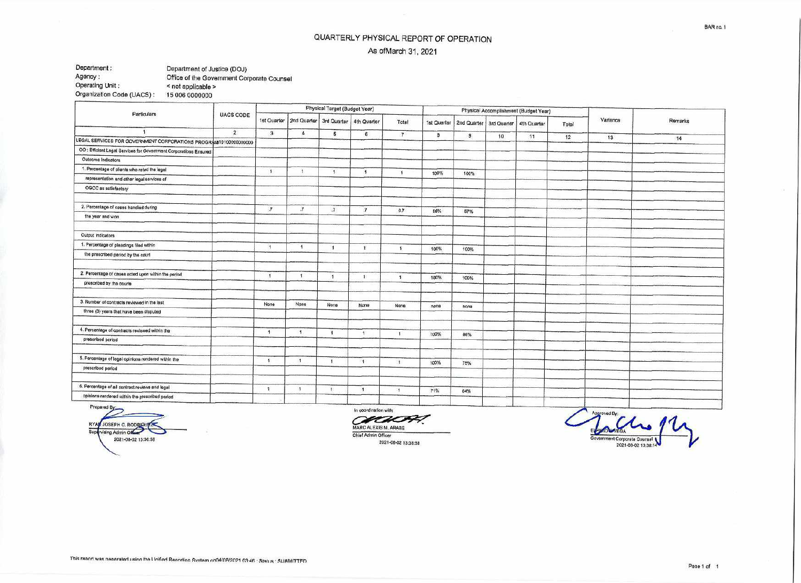## QUARTERLY PHYSICAL REPORT OF OPERATION As ofMarch 31, 2021

## Department :<br>
Department of Justice (DOJ)<br>
Office of the Government Corr Agency: Cffice of the Government Corporate Counsel<br>
Operating Unit: < not applicable >  $<$  not applicable  $>$  15 006 0000000 Organization Code (UACS) :

| Particulars                                                       |                  |                |                           | Physical Target (Budget Year) |                           |                      |             |                           | Physical Accomplishment (Budget Year) |             |       |          |         |
|-------------------------------------------------------------------|------------------|----------------|---------------------------|-------------------------------|---------------------------|----------------------|-------------|---------------------------|---------------------------------------|-------------|-------|----------|---------|
|                                                                   | <b>UACS CODE</b> |                | 1st Quarter   2nd Quarter |                               | 3rd Quarter   4th Quarter | Total                | 1st Quarter | 2nd Quarter   3rd Quarter |                                       | 4th Quarter | Total | Variance | Remarks |
|                                                                   | $\overline{2}$   | 3              | $\Delta$                  | 5                             | $\delta$                  | $\overline{7}$       | 8           | 9                         | 10                                    | 11          | 12    | 13       |         |
| LEGAL SERVICES FOR GOVERNMENT CORPORATIONS PROGRAM 10100000000000 |                  |                |                           |                               |                           |                      |             |                           |                                       |             |       |          | 14      |
| OO : Efficient Legal Services for Government Corporations Ensured |                  |                |                           |                               |                           |                      |             |                           |                                       |             |       |          |         |
| Outcome Indicators                                                |                  |                |                           |                               |                           |                      |             |                           |                                       |             |       |          |         |
| 1. Percentage of clients who rated the legal                      |                  | $\mathcal{F}$  | $\mathbf{A}$              | $\mathbf{1}$                  | $\mathbf{H}$              | $\lambda$            | 100%        | 100%                      |                                       |             |       |          |         |
| representation and other legal services of                        |                  |                |                           |                               |                           |                      |             |                           |                                       |             |       |          |         |
| OGCC as satisfactory                                              |                  |                |                           |                               |                           |                      |             |                           |                                       |             |       |          |         |
| 2. Percentage of cases handled during                             |                  | $\overline{7}$ | $\boldsymbol{\tau}$       | $\overline{a}$                | $\overline{I}$            | 0.7                  | 56%         |                           |                                       |             |       |          |         |
| the year and won                                                  |                  |                |                           |                               |                           |                      |             | 57%                       |                                       |             |       |          |         |
| Output Indicators                                                 |                  |                |                           |                               |                           |                      |             |                           |                                       |             |       |          |         |
| 1. Percentage of pleadings filed within                           |                  | - 1            | $\overline{1}$            | $\blacksquare$                | $\mathbf{1}$              | $\ddot{\phantom{1}}$ |             |                           |                                       |             |       |          |         |
| the prescribed period by the court                                |                  |                |                           |                               |                           |                      | 100%        | 100%                      |                                       |             |       |          |         |
| 2. Percentage of cases acted upon within the period               |                  | $\mathbf{A}$   | т.                        | $-1$                          | $\blacktriangleright$     |                      |             |                           |                                       |             |       |          |         |
| prescribed by the courts                                          |                  |                |                           |                               |                           | $\mathbf{f}$         | 100%        | 100%                      |                                       |             |       |          |         |
| 3. Number of contracts reviewed in the last                       |                  | None           | None                      | None                          | <b>None</b>               |                      |             |                           |                                       |             |       |          |         |
| three (3) years that have been disputed                           |                  |                |                           |                               |                           | None                 | none        | none                      |                                       |             |       |          |         |
| 4. Percentage of contracts reviewed within the                    |                  | 1.             | $\overline{1}$            | $\mathbf{f}$                  | $\mathbf{1}$              | $\ddot{\phantom{1}}$ |             |                           |                                       |             |       |          |         |
| prescribed period                                                 |                  |                |                           |                               |                           |                      | 100%        | 86%                       |                                       |             |       |          |         |
| 5. Percentage of legal opinions rendered within the               |                  | $\mathcal{N}$  | $\mathbf{A}$              | $\mathbf{I}$                  | $\mathbf{1}$              | $\mathbf{1}$         |             |                           |                                       |             |       |          |         |
| prescribed period                                                 |                  |                |                           |                               |                           |                      | 100%        | 75%                       |                                       |             |       |          |         |
| 6. Percentage of all contract reviews and legal                   |                  | $\mathbf{1}$   | $\lambda$                 | м                             | $\mathbf{1}$              | $\overline{1}$       |             |                           |                                       |             |       |          |         |
| opinions rendered within the prescribed period                    |                  |                |                           |                               |                           |                      | 71%         | 84%                       |                                       |             |       |          |         |

RYAN JOSEPH C. RODRIGUEZ Supervising Admin Officer Contract Contract Contract Contract Contract Contract Contract Contract Contract Contract Contract Contract Contract Contract Contract Contract Contract Contract Contract Contract Contract Contrac 2021.08-02 13:30.58

In coordination with: MARC ALEXIS M. ARABE Chief Admin Officer

2021-08.02 13:38:58

Approved By: Government Corporate Counsel 2021-08-02 13:38:14